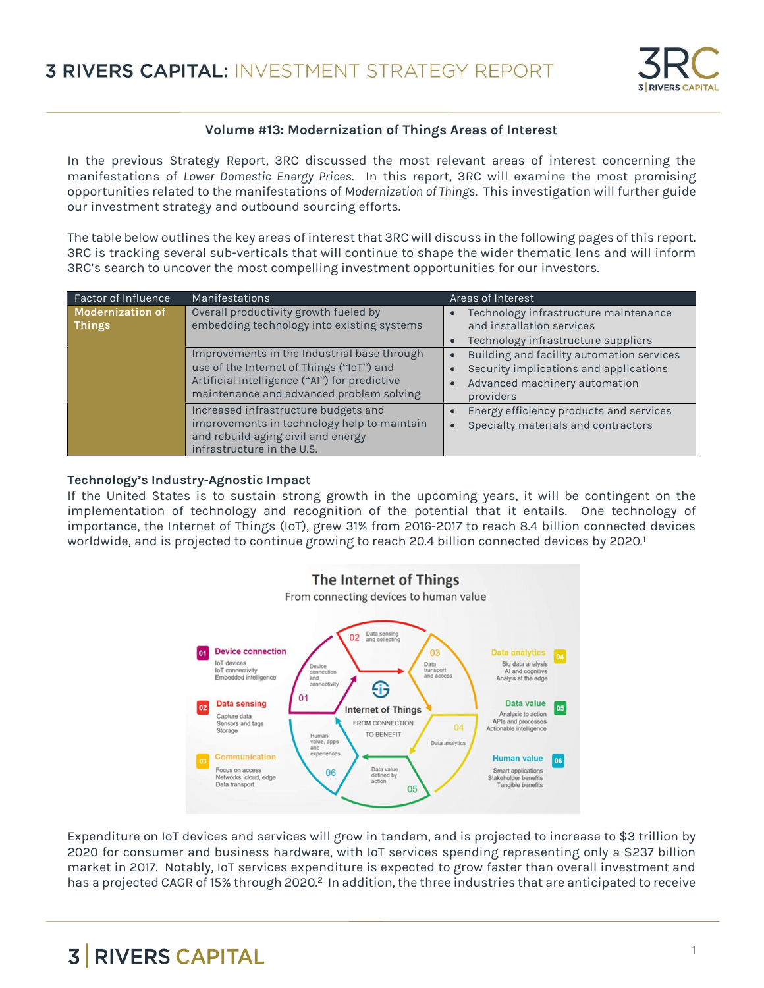

### Volume #13: Modernization of Things Areas of Interest

In the previous Strategy Report, 3RC discussed the most relevant areas of interest concerning the manifestations of Lower Domestic Energy Prices. In this report, 3RC will examine the most promising opportunities related to the manifestations of Modernization of Things. This investigation will further guide our investment strategy and outbound sourcing efforts.

The table below outlines the key areas of interest that 3RC will discuss in the following pages of this report. 3RC is tracking several sub-verticals that will continue to shape the wider thematic lens and will inform 3RC's search to uncover the most compelling investment opportunities for our investors.

| <b>Factor of Influence</b>               | <b>Manifestations</b>                                                                                                                                                                 | Areas of Interest                                                                                                                              |
|------------------------------------------|---------------------------------------------------------------------------------------------------------------------------------------------------------------------------------------|------------------------------------------------------------------------------------------------------------------------------------------------|
| <b>Modernization of</b><br><b>Things</b> | Overall productivity growth fueled by<br>embedding technology into existing systems                                                                                                   | Technology infrastructure maintenance<br>and installation services<br>Technology infrastructure suppliers                                      |
|                                          | Improvements in the Industrial base through<br>use of the Internet of Things ("IoT") and<br>Artificial Intelligence ("Al") for predictive<br>maintenance and advanced problem solving | Building and facility automation services<br>$\bullet$<br>Security implications and applications<br>Advanced machinery automation<br>providers |
|                                          | Increased infrastructure budgets and<br>improvements in technology help to maintain<br>and rebuild aging civil and energy<br>infrastructure in the U.S.                               | Energy efficiency products and services<br>Specialty materials and contractors                                                                 |

#### Technology's Industry-Agnostic Impact

If the United States is to sustain strong growth in the upcoming years, it will be contingent on the implementation of technology and recognition of the potential that it entails. One technology of importance, the Internet of Things (IoT), grew 31% from 2016-2017 to reach 8.4 billion connected devices worldwide, and is projected to continue growing to reach 20.4 billion connected devices by 2020.<sup>1</sup>



Expenditure on IoT devices and services will grow in tandem, and is projected to increase to \$3 trillion by 2020 for consumer and business hardware, with IoT services spending representing only a \$237 billion market in 2017. Notably, IoT services expenditure is expected to grow faster than overall investment and has a projected CAGR of 15% through 2020.<sup>2</sup> In addition, the three industries that are anticipated to receive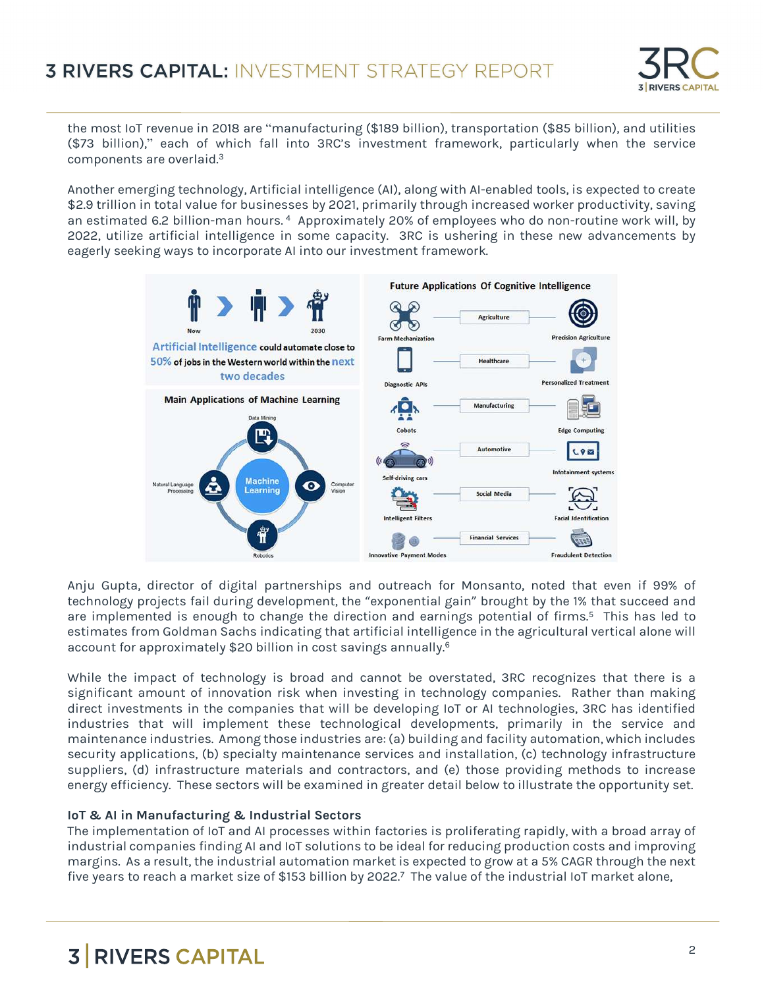

the most IoT revenue in 2018 are "manufacturing (\$189 billion), transportation (\$85 billion), and utilities (\$73 billion)," each of which fall into 3RC's investment framework, particularly when the service components are overlaid.<sup>3</sup>

Another emerging technology, Artificial intelligence (AI), along with AI-enabled tools, is expected to create \$2.9 trillion in total value for businesses by 2021, primarily through increased worker productivity, saving an estimated 6.2 billion-man hours.<sup>4</sup> Approximately 20% of employees who do non-routine work will, by 2022, utilize artificial intelligence in some capacity. 3RC is ushering in these new advancements by eagerly seeking ways to incorporate AI into our investment framework.



Anju Gupta, director of digital partnerships and outreach for Monsanto, noted that even if 99% of technology projects fail during development, the "exponential gain" brought by the 1% that succeed and are implemented is enough to change the direction and earnings potential of firms.<sup>5</sup> This has led to estimates from Goldman Sachs indicating that artificial intelligence in the agricultural vertical alone will account for approximately \$20 billion in cost savings annually.<sup>6</sup>

While the impact of technology is broad and cannot be overstated, 3RC recognizes that there is a significant amount of innovation risk when investing in technology companies. Rather than making direct investments in the companies that will be developing IoT or AI technologies, 3RC has identified industries that will implement these technological developments, primarily in the service and maintenance industries. Among those industries are: (a) building and facility automation, which includes security applications, (b) specialty maintenance services and installation, (c) technology infrastructure suppliers, (d) infrastructure materials and contractors, and (e) those providing methods to increase energy efficiency. These sectors will be examined in greater detail below to illustrate the opportunity set.

### IoT & AI in Manufacturing & Industrial Sectors

The implementation of IoT and AI processes within factories is proliferating rapidly, with a broad array of industrial companies finding AI and IoT solutions to be ideal for reducing production costs and improving margins. As a result, the industrial automation market is expected to grow at a 5% CAGR through the next five years to reach a market size of \$153 billion by 2022.<sup>7</sup> The value of the industrial IoT market alone,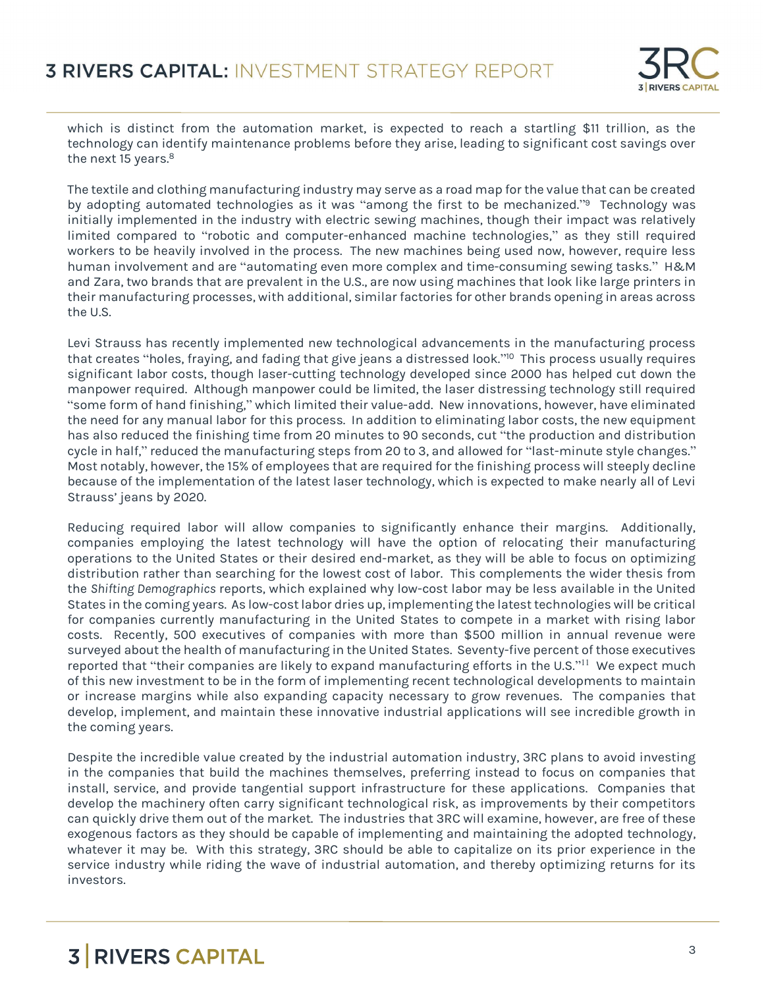

which is distinct from the automation market, is expected to reach a startling \$11 trillion, as the technology can identify maintenance problems before they arise, leading to significant cost savings over the next 15 years.<sup>8</sup>

The textile and clothing manufacturing industry may serve as a road map for the value that can be created by adopting automated technologies as it was "among the first to be mechanized."<sup>9</sup> Technology was initially implemented in the industry with electric sewing machines, though their impact was relatively limited compared to "robotic and computer-enhanced machine technologies," as they still required workers to be heavily involved in the process. The new machines being used now, however, require less human involvement and are "automating even more complex and time-consuming sewing tasks." H&M and Zara, two brands that are prevalent in the U.S., are now using machines that look like large printers in their manufacturing processes, with additional, similar factories for other brands opening in areas across the U.S.

Levi Strauss has recently implemented new technological advancements in the manufacturing process that creates "holes, fraying, and fading that give jeans a distressed look." <sup>10</sup> This process usually requires significant labor costs, though laser-cutting technology developed since 2000 has helped cut down the manpower required. Although manpower could be limited, the laser distressing technology still required "some form of hand finishing," which limited their value-add. New innovations, however, have eliminated the need for any manual labor for this process. In addition to eliminating labor costs, the new equipment has also reduced the finishing time from 20 minutes to 90 seconds, cut "the production and distribution cycle in half," reduced the manufacturing steps from 20 to 3, and allowed for "last-minute style changes." Most notably, however, the 15% of employees that are required for the finishing process will steeply decline because of the implementation of the latest laser technology, which is expected to make nearly all of Levi Strauss' jeans by 2020.

Reducing required labor will allow companies to significantly enhance their margins. Additionally, companies employing the latest technology will have the option of relocating their manufacturing operations to the United States or their desired end-market, as they will be able to focus on optimizing distribution rather than searching for the lowest cost of labor. This complements the wider thesis from the Shifting Demographics reports, which explained why low-cost labor may be less available in the United States in the coming years. As low-cost labor dries up, implementing the latest technologies will be critical for companies currently manufacturing in the United States to compete in a market with rising labor costs. Recently, 500 executives of companies with more than \$500 million in annual revenue were surveyed about the health of manufacturing in the United States. Seventy-five percent of those executives reported that "their companies are likely to expand manufacturing efforts in the U.S." $^{11}$  We expect much of this new investment to be in the form of implementing recent technological developments to maintain or increase margins while also expanding capacity necessary to grow revenues. The companies that develop, implement, and maintain these innovative industrial applications will see incredible growth in the coming years.

Despite the incredible value created by the industrial automation industry, 3RC plans to avoid investing in the companies that build the machines themselves, preferring instead to focus on companies that install, service, and provide tangential support infrastructure for these applications. Companies that develop the machinery often carry significant technological risk, as improvements by their competitors can quickly drive them out of the market. The industries that 3RC will examine, however, are free of these exogenous factors as they should be capable of implementing and maintaining the adopted technology, whatever it may be. With this strategy, 3RC should be able to capitalize on its prior experience in the service industry while riding the wave of industrial automation, and thereby optimizing returns for its investors.

## **3 RIVERS CAPITAL Example 20** and 20 and 20 and 20 and 20 and 20 and 20 and 20 and 20 and 20 and 20 and 20 and 20 and 20 and 20 and 20 and 20 and 20 and 20 and 20 and 20 and 20 and 20 and 20 and 20 and 20 and 20 and 20 a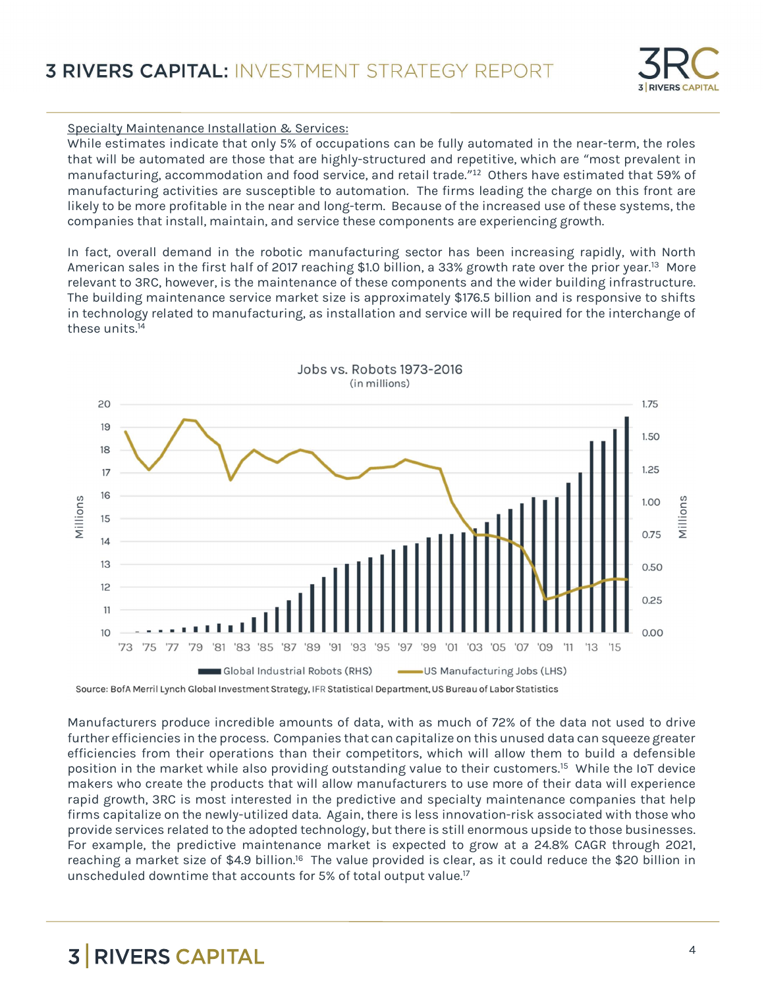### Specialty Maintenance Installation & Services:

While estimates indicate that only 5% of occupations can be fully automated in the near-term, the roles that will be automated are those that are highly-structured and repetitive, which are "most prevalent in manufacturing, accommodation and food service, and retail trade." <sup>12</sup> Others have estimated that 59% of manufacturing activities are susceptible to automation. The firms leading the charge on this front are likely to be more profitable in the near and long-term. Because of the increased use of these systems, the companies that install, maintain, and service these components are experiencing growth.

In fact, overall demand in the robotic manufacturing sector has been increasing rapidly, with North American sales in the first half of 2017 reaching \$1.0 billion, a 33% growth rate over the prior year.<sup>13</sup> More relevant to 3RC, however, is the maintenance of these components and the wider building infrastructure. The building maintenance service market size is approximately \$176.5 billion and is responsive to shifts in technology related to manufacturing, as installation and service will be required for the interchange of these units.<sup>14</sup>



Source: BofA Merril Lynch Global Investment Strategy, IFR Statistical Department, US Bureau of Labor Statistics

Manufacturers produce incredible amounts of data, with as much of 72% of the data not used to drive further efficiencies in the process. Companies that can capitalize on this unused data can squeeze greater efficiencies from their operations than their competitors, which will allow them to build a defensible position in the market while also providing outstanding value to their customers.<sup>15</sup> While the IoT device makers who create the products that will allow manufacturers to use more of their data will experience rapid growth, 3RC is most interested in the predictive and specialty maintenance companies that help firms capitalize on the newly-utilized data. Again, there is less innovation-risk associated with those who provide services related to the adopted technology, but there is still enormous upside to those businesses. For example, the predictive maintenance market is expected to grow at a 24.8% CAGR through 2021, reaching a market size of \$4.9 billion.<sup>16</sup> The value provided is clear, as it could reduce the \$20 billion in unscheduled downtime that accounts for 5% of total output value.17

# 3 RIVERS CAPITAL AND RESIDENCE ASSESSED.

**Z DIVEDS CADITAL**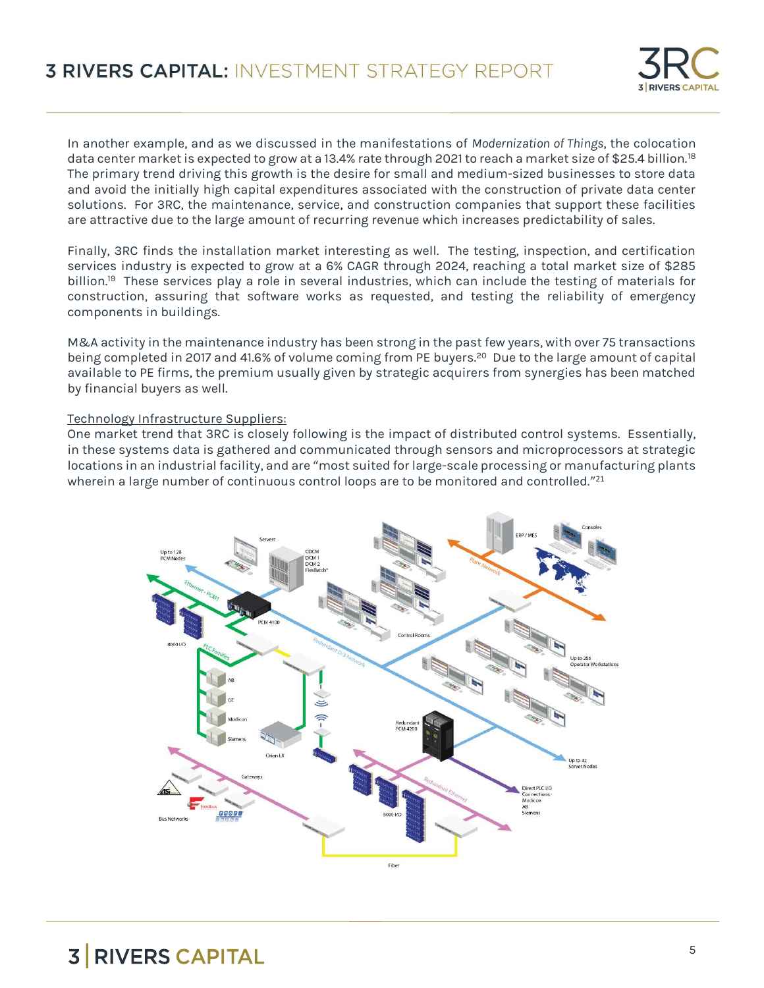

In another example, and as we discussed in the manifestations of Modernization of Things, the colocation data center market is expected to grow at a 13.4% rate through 2021 to reach a market size of \$25.4 billion.<sup>18</sup> The primary trend driving this growth is the desire for small and medium-sized businesses to store data and avoid the initially high capital expenditures associated with the construction of private data center solutions. For 3RC, the maintenance, service, and construction companies that support these facilities are attractive due to the large amount of recurring revenue which increases predictability of sales.

Finally, 3RC finds the installation market interesting as well. The testing, inspection, and certification services industry is expected to grow at a 6% CAGR through 2024, reaching a total market size of \$285 billion.<sup>19</sup> These services play a role in several industries, which can include the testing of materials for construction, assuring that software works as requested, and testing the reliability of emergency components in buildings.

M&A activity in the maintenance industry has been strong in the past few years, with over 75 transactions being completed in 2017 and 41.6% of volume coming from PE buyers.<sup>20</sup> Due to the large amount of capital available to PE firms, the premium usually given by strategic acquirers from synergies has been matched by financial buyers as well.

### Technology Infrastructure Suppliers:

One market trend that 3RC is closely following is the impact of distributed control systems. Essentially, in these systems data is gathered and communicated through sensors and microprocessors at strategic locations in an industrial facility, and are "most suited for large-scale processing or manufacturing plants wherein a large number of continuous control loops are to be monitored and controlled." $^{21}$ 

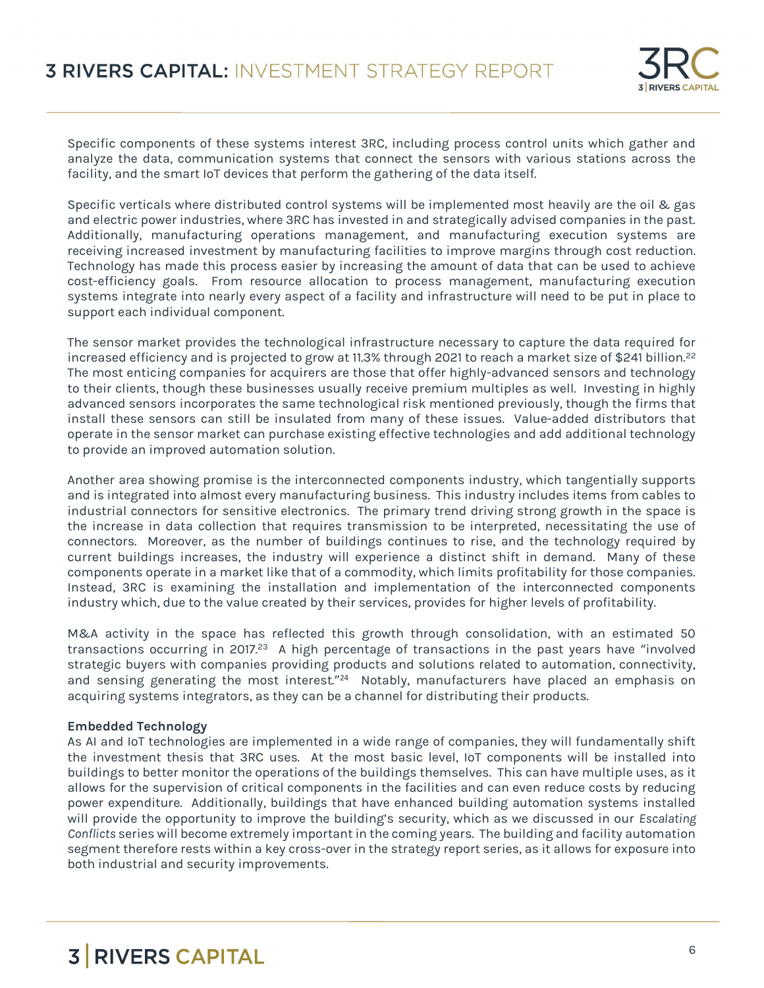

Specific components of these systems interest 3RC, including process control units which gather and analyze the data, communication systems that connect the sensors with various stations across the facility, and the smart IoT devices that perform the gathering of the data itself.

Specific verticals where distributed control systems will be implemented most heavily are the oil & gas and electric power industries, where 3RC has invested in and strategically advised companies in the past. Additionally, manufacturing operations management, and manufacturing execution systems are receiving increased investment by manufacturing facilities to improve margins through cost reduction. Technology has made this process easier by increasing the amount of data that can be used to achieve cost-efficiency goals. From resource allocation to process management, manufacturing execution systems integrate into nearly every aspect of a facility and infrastructure will need to be put in place to support each individual component.

The sensor market provides the technological infrastructure necessary to capture the data required for increased efficiency and is projected to grow at 11.3% through 2021 to reach a market size of \$241 billion.<sup>22</sup> The most enticing companies for acquirers are those that offer highly-advanced sensors and technology to their clients, though these businesses usually receive premium multiples as well. Investing in highly advanced sensors incorporates the same technological risk mentioned previously, though the firms that install these sensors can still be insulated from many of these issues. Value-added distributors that operate in the sensor market can purchase existing effective technologies and add additional technology to provide an improved automation solution.

Another area showing promise is the interconnected components industry, which tangentially supports and is integrated into almost every manufacturing business. This industry includes items from cables to industrial connectors for sensitive electronics. The primary trend driving strong growth in the space is the increase in data collection that requires transmission to be interpreted, necessitating the use of connectors. Moreover, as the number of buildings continues to rise, and the technology required by current buildings increases, the industry will experience a distinct shift in demand. Many of these components operate in a market like that of a commodity, which limits profitability for those companies. Instead, 3RC is examining the installation and implementation of the interconnected components industry which, due to the value created by their services, provides for higher levels of profitability.

M&A activity in the space has reflected this growth through consolidation, with an estimated 50 transactions occurring in 2017.<sup>23</sup> A high percentage of transactions in the past years have "involved strategic buyers with companies providing products and solutions related to automation, connectivity, and sensing generating the most interest."<sup>24</sup> Notably, manufacturers have placed an emphasis on acquiring systems integrators, as they can be a channel for distributing their products.

### Embedded Technology

As AI and IoT technologies are implemented in a wide range of companies, they will fundamentally shift the investment thesis that 3RC uses. At the most basic level, IoT components will be installed into buildings to better monitor the operations of the buildings themselves. This can have multiple uses, as it allows for the supervision of critical components in the facilities and can even reduce costs by reducing power expenditure. Additionally, buildings that have enhanced building automation systems installed will provide the opportunity to improve the building's security, which as we discussed in our Escalating Conflicts series will become extremely important in the coming years. The building and facility automation segment therefore rests within a key cross-over in the strategy report series, as it allows for exposure into both industrial and security improvements.

### **5 RIVERS CAPITAL ASSESSMENT AND RESIDENCE**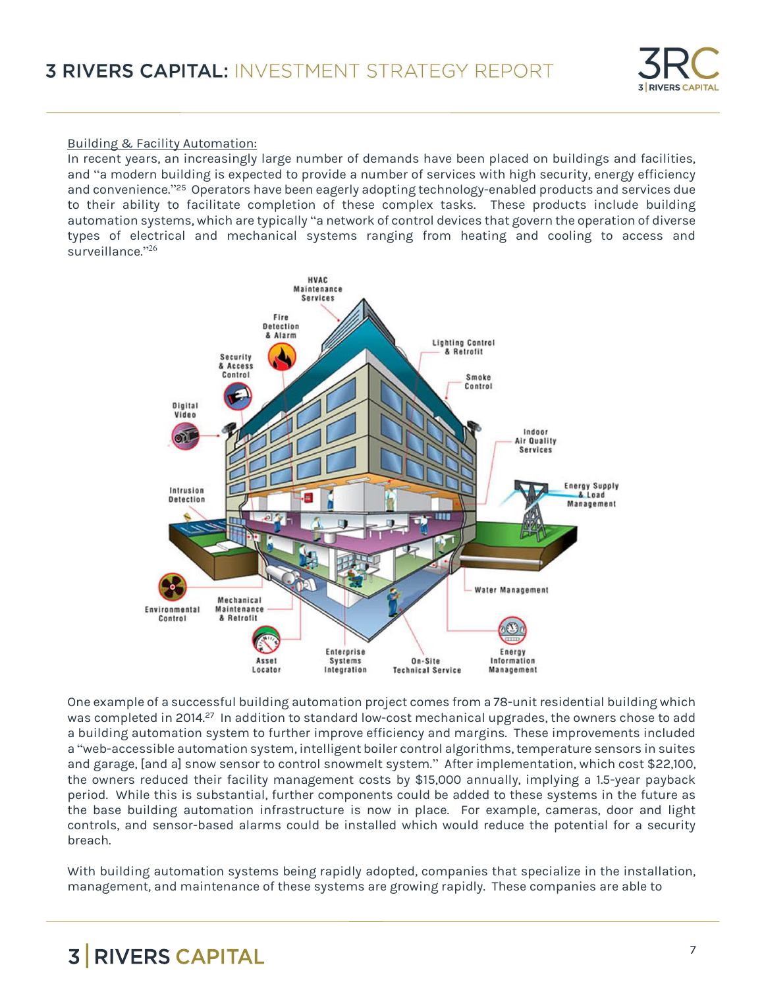

### Building & Facility Automation:

In recent years, an increasingly large number of demands have been placed on buildings and facilities, and "a modern building is expected to provide a number of services with high security, energy efficiency and convenience." <sup>25</sup> Operators have been eagerly adopting technology-enabled products and services due to their ability to facilitate completion of these complex tasks. These products include building automation systems, which are typically "a network of control devices that govern the operation of diverse types of electrical and mechanical systems ranging from heating and cooling to access and surveillance." 26



One example of a successful building automation project comes from a 78-unit residential building which was completed in 2014.<sup>27</sup> In addition to standard low-cost mechanical upgrades, the owners chose to add a building automation system to further improve efficiency and margins. These improvements included a "web-accessible automation system, intelligent boiler control algorithms, temperature sensors in suites and garage, [and a] snow sensor to control snowmelt system." After implementation, which cost \$22,100, the owners reduced their facility management costs by \$15,000 annually, implying a 1.5-year payback period. While this is substantial, further components could be added to these systems in the future as the base building automation infrastructure is now in place. For example, cameras, door and light controls, and sensor-based alarms could be installed which would reduce the potential for a security breach.

With building automation systems being rapidly adopted, companies that specialize in the installation, management, and maintenance of these systems are growing rapidly. These companies are able to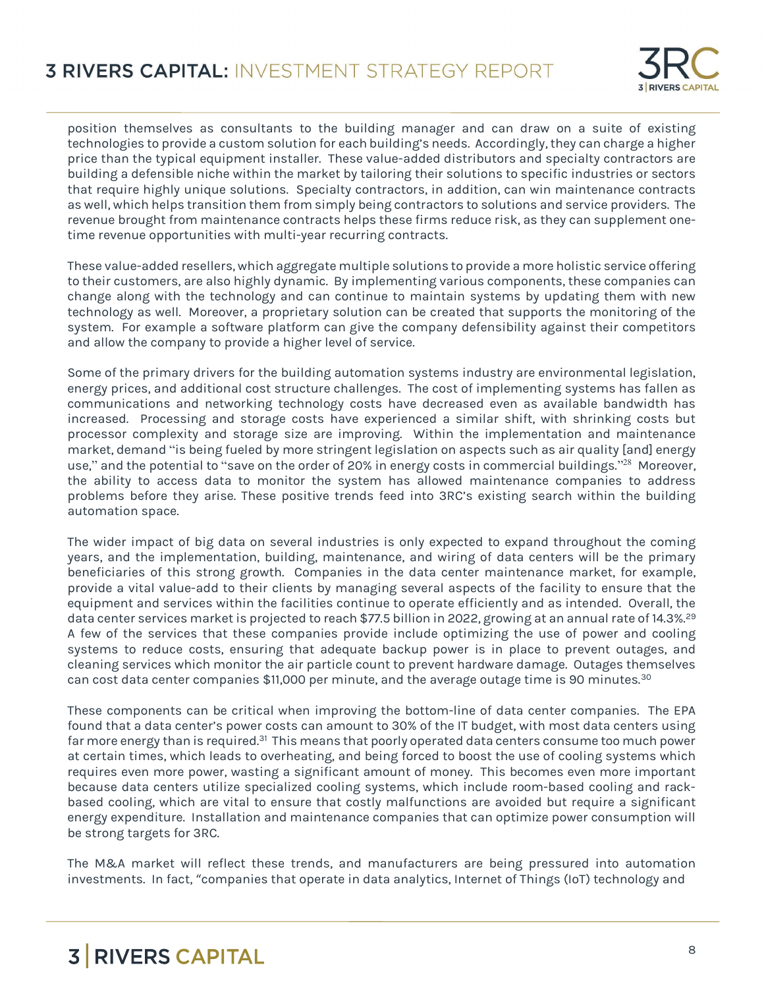

position themselves as consultants to the building manager and can draw on a suite of existing technologies to provide a custom solution for each building's needs. Accordingly, they can charge a higher price than the typical equipment installer. These value-added distributors and specialty contractors are building a defensible niche within the market by tailoring their solutions to specific industries or sectors that require highly unique solutions. Specialty contractors, in addition, can win maintenance contracts as well, which helps transition them from simply being contractors to solutions and service providers. The revenue brought from maintenance contracts helps these firms reduce risk, as they can supplement onetime revenue opportunities with multi-year recurring contracts.

These value-added resellers, which aggregate multiple solutions to provide a more holistic service offering to their customers, are also highly dynamic. By implementing various components, these companies can change along with the technology and can continue to maintain systems by updating them with new technology as well. Moreover, a proprietary solution can be created that supports the monitoring of the system. For example a software platform can give the company defensibility against their competitors and allow the company to provide a higher level of service.

Some of the primary drivers for the building automation systems industry are environmental legislation, energy prices, and additional cost structure challenges. The cost of implementing systems has fallen as communications and networking technology costs have decreased even as available bandwidth has increased. Processing and storage costs have experienced a similar shift, with shrinking costs but processor complexity and storage size are improving. Within the implementation and maintenance market, demand "is being fueled by more stringent legislation on aspects such as air quality [and] energy use," and the potential to "save on the order of 20% in energy costs in commercial buildings."<sup>28</sup> Moreover, the ability to access data to monitor the system has allowed maintenance companies to address problems before they arise. These positive trends feed into 3RC's existing search within the building automation space.

The wider impact of big data on several industries is only expected to expand throughout the coming years, and the implementation, building, maintenance, and wiring of data centers will be the primary beneficiaries of this strong growth. Companies in the data center maintenance market, for example, provide a vital value-add to their clients by managing several aspects of the facility to ensure that the equipment and services within the facilities continue to operate efficiently and as intended. Overall, the data center services market is projected to reach \$77.5 billion in 2022, growing at an annual rate of 14.3%.<sup>29</sup> A few of the services that these companies provide include optimizing the use of power and cooling systems to reduce costs, ensuring that adequate backup power is in place to prevent outages, and cleaning services which monitor the air particle count to prevent hardware damage. Outages themselves can cost data center companies \$11,000 per minute, and the average outage time is 90 minutes.<sup>30</sup>

These components can be critical when improving the bottom-line of data center companies. The EPA found that a data center's power costs can amount to 30% of the IT budget, with most data centers using far more energy than is required.<sup>31</sup> This means that poorly operated data centers consume too much power at certain times, which leads to overheating, and being forced to boost the use of cooling systems which requires even more power, wasting a significant amount of money. This becomes even more important because data centers utilize specialized cooling systems, which include room-based cooling and rackbased cooling, which are vital to ensure that costly malfunctions are avoided but require a significant energy expenditure. Installation and maintenance companies that can optimize power consumption will be strong targets for 3RC.

The M&A market will reflect these trends, and manufacturers are being pressured into automation investments. In fact, "companies that operate in data analytics, Internet of Things (IoT) technology and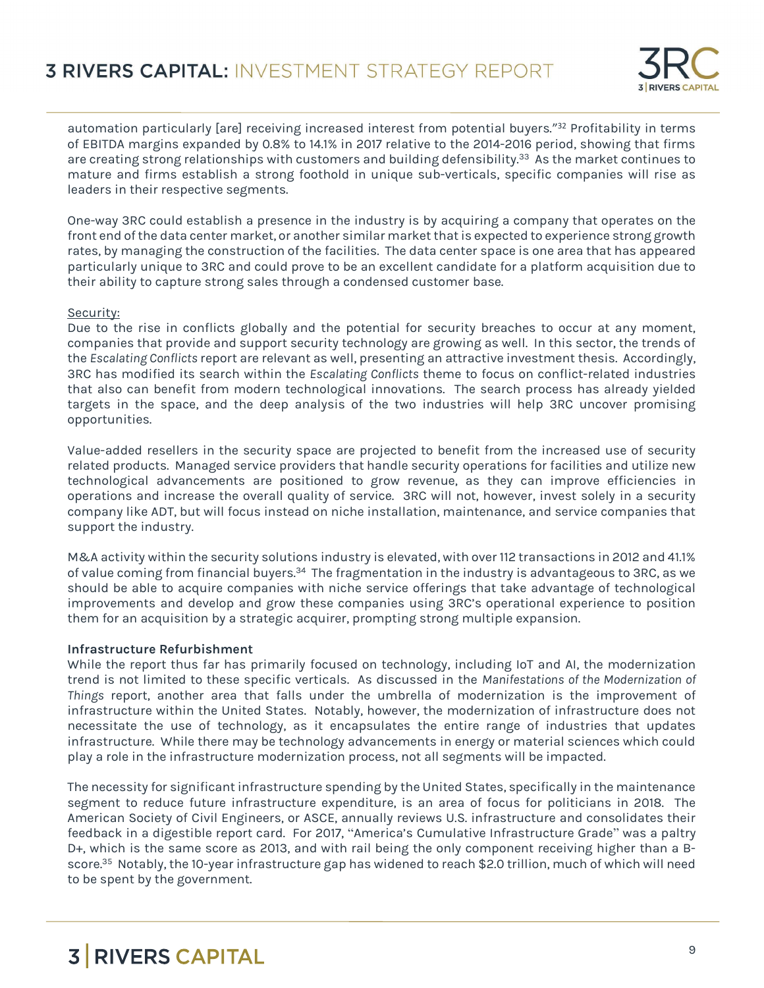

automation particularly [are] receiving increased interest from potential buyers."<sup>32</sup> Profitability in terms of EBITDA margins expanded by 0.8% to 14.1% in 2017 relative to the 2014-2016 period, showing that firms are creating strong relationships with customers and building defensibility.<sup>33</sup> As the market continues to mature and firms establish a strong foothold in unique sub-verticals, specific companies will rise as leaders in their respective segments.

One-way 3RC could establish a presence in the industry is by acquiring a company that operates on the front end of the data center market, or another similar market that is expected to experience strong growth rates, by managing the construction of the facilities. The data center space is one area that has appeared particularly unique to 3RC and could prove to be an excellent candidate for a platform acquisition due to their ability to capture strong sales through a condensed customer base.

### Security:

Due to the rise in conflicts globally and the potential for security breaches to occur at any moment, companies that provide and support security technology are growing as well. In this sector, the trends of the Escalating Conflicts report are relevant as well, presenting an attractive investment thesis. Accordingly, 3RC has modified its search within the Escalating Conflicts theme to focus on conflict-related industries that also can benefit from modern technological innovations. The search process has already yielded targets in the space, and the deep analysis of the two industries will help 3RC uncover promising opportunities.

Value-added resellers in the security space are projected to benefit from the increased use of security related products. Managed service providers that handle security operations for facilities and utilize new technological advancements are positioned to grow revenue, as they can improve efficiencies in operations and increase the overall quality of service. 3RC will not, however, invest solely in a security company like ADT, but will focus instead on niche installation, maintenance, and service companies that support the industry.

M&A activity within the security solutions industry is elevated, with over 112 transactions in 2012 and 41.1% of value coming from financial buyers.<sup>34</sup> The fragmentation in the industry is advantageous to 3RC, as we should be able to acquire companies with niche service offerings that take advantage of technological improvements and develop and grow these companies using 3RC's operational experience to position them for an acquisition by a strategic acquirer, prompting strong multiple expansion.

### Infrastructure Refurbishment

While the report thus far has primarily focused on technology, including IoT and AI, the modernization trend is not limited to these specific verticals. As discussed in the Manifestations of the Modernization of Things report, another area that falls under the umbrella of modernization is the improvement of infrastructure within the United States. Notably, however, the modernization of infrastructure does not necessitate the use of technology, as it encapsulates the entire range of industries that updates infrastructure. While there may be technology advancements in energy or material sciences which could play a role in the infrastructure modernization process, not all segments will be impacted.

The necessity for significant infrastructure spending by the United States, specifically in the maintenance segment to reduce future infrastructure expenditure, is an area of focus for politicians in 2018. The American Society of Civil Engineers, or ASCE, annually reviews U.S. infrastructure and consolidates their feedback in a digestible report card. For 2017, "America's Cumulative Infrastructure Grade" was a paltry D+, which is the same score as 2013, and with rail being the only component receiving higher than a Bscore.<sup>35</sup> Notably, the 10-year infrastructure gap has widened to reach \$2.0 trillion, much of which will need to be spent by the government.

# 3 RIVERS CAPITAL AND RESIDENCE IN A SUBSERIES OF STATISTICS.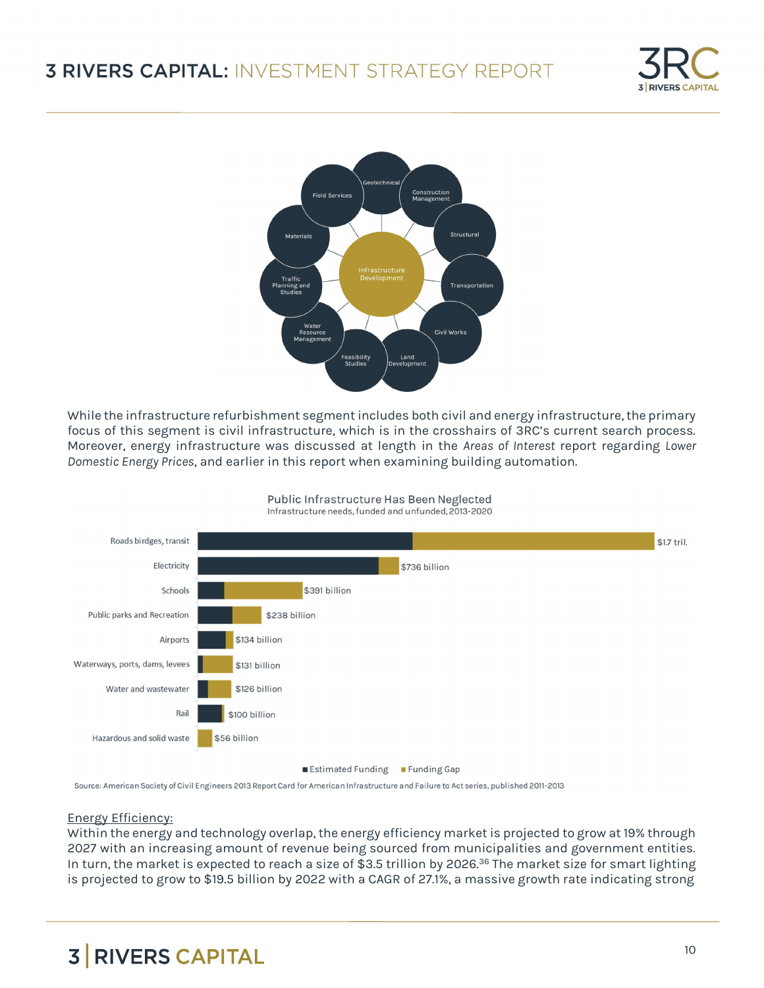



While the infrastructure refurbishment segment includes both civil and energy infrastructure, the primary focus of this segment is civil infrastructure, which is in the crosshairs of 3RC's current search process. Moreover, energy infrastructure was discussed at length in the Areas of Interest report regarding Lower Domestic Energy Prices, and earlier in this report when examining building automation.



Public Infrastructure Has Been Neglected

Source: American Society of Civil Engineers 2013 Report Card for American Infrastructure and Failure to Act series, published 2011-2013

#### Energy Efficiency:

Within the energy and technology overlap, the energy efficiency market is projected to grow at 19% through 2027 with an increasing amount of revenue being sourced from municipalities and government entities. In turn, the market is expected to reach a size of \$3.5 trillion by 2026.<sup>36</sup> The market size for smart lighting is projected to grow to \$19.5 billion by 2022 with a CAGR of 27.1%, a massive growth rate indicating strong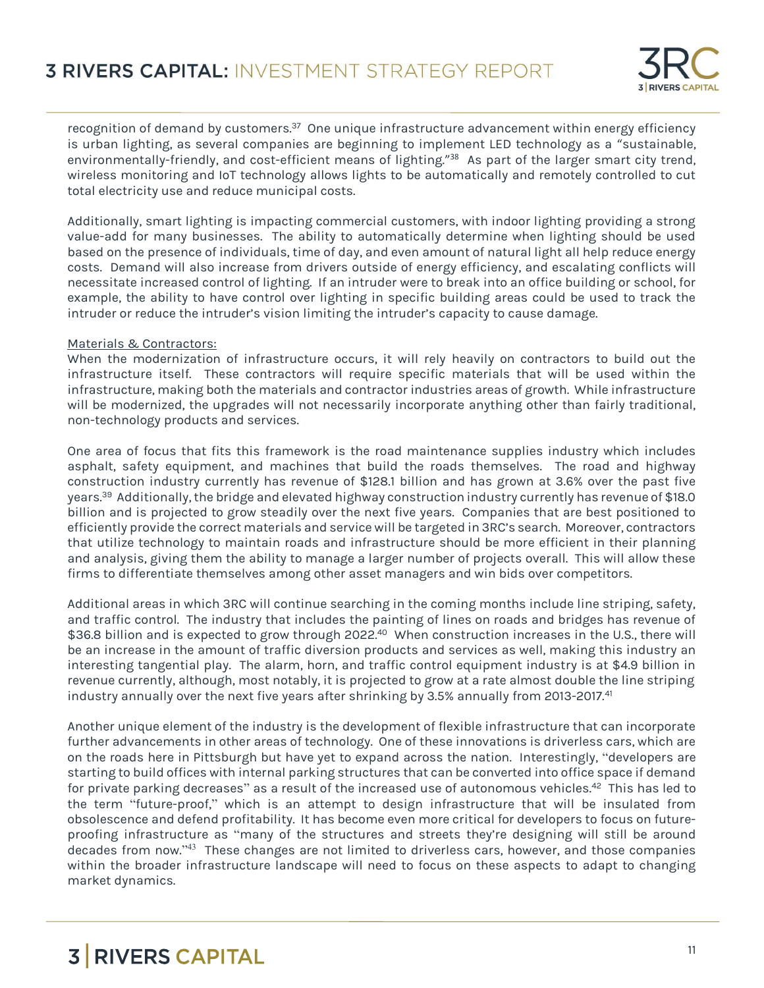

recognition of demand by customers.<sup>37</sup> One unique infrastructure advancement within energy efficiency is urban lighting, as several companies are beginning to implement LED technology as a "sustainable, environmentally-friendly, and cost-efficient means of lighting." <sup>38</sup> As part of the larger smart city trend, wireless monitoring and IoT technology allows lights to be automatically and remotely controlled to cut total electricity use and reduce municipal costs.

Additionally, smart lighting is impacting commercial customers, with indoor lighting providing a strong value-add for many businesses. The ability to automatically determine when lighting should be used based on the presence of individuals, time of day, and even amount of natural light all help reduce energy costs. Demand will also increase from drivers outside of energy efficiency, and escalating conflicts will necessitate increased control of lighting. If an intruder were to break into an office building or school, for example, the ability to have control over lighting in specific building areas could be used to track the intruder or reduce the intruder's vision limiting the intruder's capacity to cause damage.

### Materials & Contractors:

When the modernization of infrastructure occurs, it will rely heavily on contractors to build out the infrastructure itself. These contractors will require specific materials that will be used within the infrastructure, making both the materials and contractor industries areas of growth. While infrastructure will be modernized, the upgrades will not necessarily incorporate anything other than fairly traditional, non-technology products and services.

One area of focus that fits this framework is the road maintenance supplies industry which includes asphalt, safety equipment, and machines that build the roads themselves. The road and highway construction industry currently has revenue of \$128.1 billion and has grown at 3.6% over the past five years.<sup>39</sup> Additionally, the bridge and elevated highway construction industry currently has revenue of \$18.0 billion and is projected to grow steadily over the next five years. Companies that are best positioned to efficiently provide the correct materials and service will be targeted in 3RC's search. Moreover, contractors that utilize technology to maintain roads and infrastructure should be more efficient in their planning and analysis, giving them the ability to manage a larger number of projects overall. This will allow these firms to differentiate themselves among other asset managers and win bids over competitors.

Additional areas in which 3RC will continue searching in the coming months include line striping, safety, and traffic control. The industry that includes the painting of lines on roads and bridges has revenue of \$36.8 billion and is expected to grow through 2022.<sup>40</sup> When construction increases in the U.S., there will be an increase in the amount of traffic diversion products and services as well, making this industry an interesting tangential play. The alarm, horn, and traffic control equipment industry is at \$4.9 billion in revenue currently, although, most notably, it is projected to grow at a rate almost double the line striping industry annually over the next five years after shrinking by 3.5% annually from 2013-2017.<sup>41</sup>

Another unique element of the industry is the development of flexible infrastructure that can incorporate further advancements in other areas of technology. One of these innovations is driverless cars, which are on the roads here in Pittsburgh but have yet to expand across the nation. Interestingly, "developers are starting to build offices with internal parking structures that can be converted into office space if demand for private parking decreases" as a result of the increased use of autonomous vehicles.<sup>42</sup> This has led to the term "future-proof," which is an attempt to design infrastructure that will be insulated from obsolescence and defend profitability. It has become even more critical for developers to focus on futureproofing infrastructure as "many of the structures and streets they're designing will still be around decades from now." <sup>43</sup> These changes are not limited to driverless cars, however, and those companies within the broader infrastructure landscape will need to focus on these aspects to adapt to changing market dynamics.